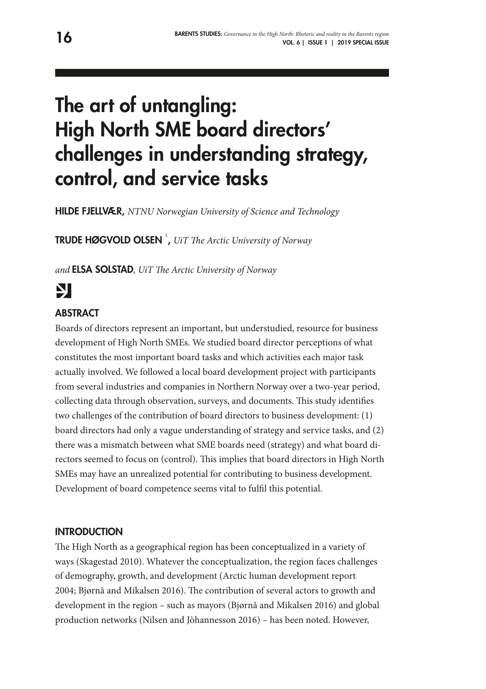# The art of untangling: High North SME board directors' challenges in understanding strategy, control, and service tasks

HILDE FJELLVÆR, *NTNU Norwegian University of Science and Technology*

**TRUDE HØGVOLD OLSEN** <sup>1</sup>, UiT The Arctic University of Norway

*and* ELSA SOLSTAD*, UiT Te Arctic University of Norway*

# Ŋ

# **ABSTRACT**

Boards of directors represent an important, but understudied, resource for business development of High North SMEs. We studied board director perceptions of what constitutes the most important board tasks and which activities each major task actually involved. We followed a local board development project with participants from several industries and companies in Northern Norway over a two-year period, collecting data through observation, surveys, and documents. Tis study identifes two challenges of the contribution of board directors to business development: (1) board directors had only a vague understanding of strategy and service tasks, and (2) there was a mismatch between what SME boards need (strategy) and what board directors seemed to focus on (control). This implies that board directors in High North SMEs may have an unrealized potential for contributing to business development. Development of board competence seems vital to fulfl this potential.

#### **INTRODUCTION**

The High North as a geographical region has been conceptualized in a variety of ways (Skagestad 2010). Whatever the conceptualization, the region faces challenges of demography, growth, and development (Arctic human development report 2004; Bjørnå and Mikalsen 2016). The contribution of several actors to growth and development in the region – such as mayors (Bjørnå and Mikalsen 2016) and global production networks (Nilsen and Jòhannesson 2016) – has been noted. However,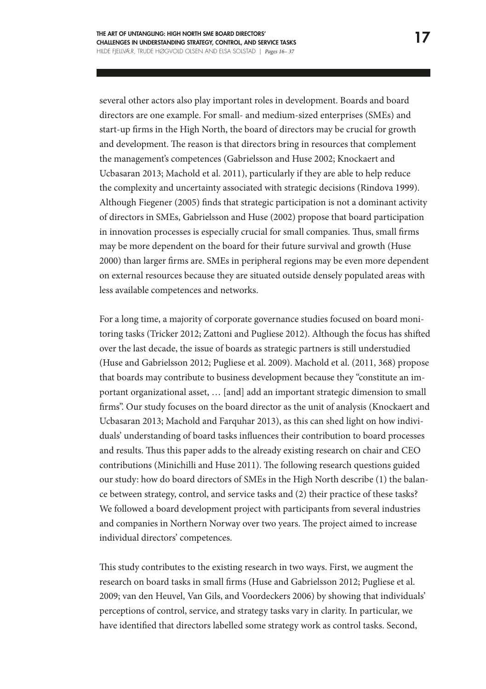several other actors also play important roles in development. Boards and board directors are one example. For small- and medium-sized enterprises (SMEs) and start-up frms in the High North, the board of directors may be crucial for growth and development. The reason is that directors bring in resources that complement the management's competences (Gabrielsson and Huse 2002; Knockaert and Ucbasaran 2013; Machold et al. 2011), particularly if they are able to help reduce the complexity and uncertainty associated with strategic decisions (Rindova 1999). Although Fiegener (2005) fnds that strategic participation is not a dominant activity of directors in SMEs, Gabrielsson and Huse (2002) propose that board participation in innovation processes is especially crucial for small companies. Thus, small firms may be more dependent on the board for their future survival and growth (Huse 2000) than larger frms are. SMEs in peripheral regions may be even more dependent on external resources because they are situated outside densely populated areas with less available competences and networks.

For a long time, a majority of corporate governance studies focused on board monitoring tasks (Tricker 2012; Zattoni and Pugliese 2012). Although the focus has shifed over the last decade, the issue of boards as strategic partners is still understudied (Huse and Gabrielsson 2012; Pugliese et al. 2009). Machold et al. (2011, 368) propose that boards may contribute to business development because they "constitute an important organizational asset, … [and] add an important strategic dimension to small frms". Our study focuses on the board director as the unit of analysis (Knockaert and Ucbasaran 2013; Machold and Farquhar 2013), as this can shed light on how individuals' understanding of board tasks infuences their contribution to board processes and results. Thus this paper adds to the already existing research on chair and CEO contributions (Minichilli and Huse 2011). The following research questions guided our study: how do board directors of SMEs in the High North describe (1) the balance between strategy, control, and service tasks and (2) their practice of these tasks? We followed a board development project with participants from several industries and companies in Northern Norway over two years. The project aimed to increase individual directors' competences.

This study contributes to the existing research in two ways. First, we augment the research on board tasks in small frms (Huse and Gabrielsson 2012; Pugliese et al. 2009; van den Heuvel, Van Gils, and Voordeckers 2006) by showing that individuals' perceptions of control, service, and strategy tasks vary in clarity. In particular, we have identifed that directors labelled some strategy work as control tasks. Second,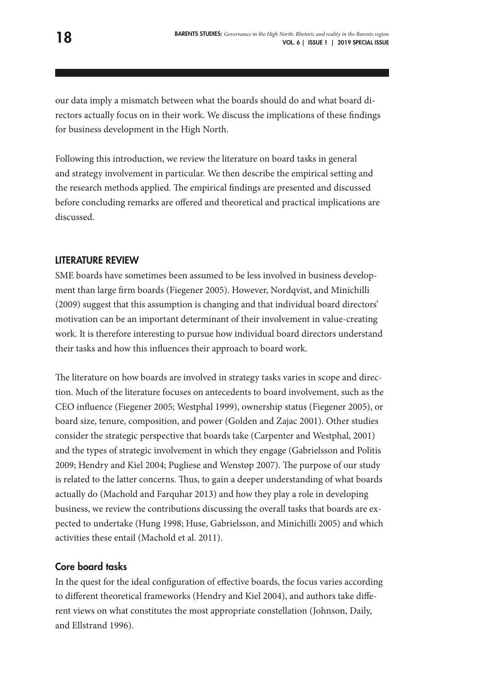our data imply a mismatch between what the boards should do and what board directors actually focus on in their work. We discuss the implications of these fndings for business development in the High North.

Following this introduction, we review the literature on board tasks in general and strategy involvement in particular. We then describe the empirical setting and the research methods applied. The empirical findings are presented and discussed before concluding remarks are ofered and theoretical and practical implications are discussed.

### LITERATURE REVIEW

SME boards have sometimes been assumed to be less involved in business development than large frm boards (Fiegener 2005). However, Nordqvist, and Minichilli (2009) suggest that this assumption is changing and that individual board directors' motivation can be an important determinant of their involvement in value-creating work. It is therefore interesting to pursue how individual board directors understand their tasks and how this infuences their approach to board work.

The literature on how boards are involved in strategy tasks varies in scope and direction. Much of the literature focuses on antecedents to board involvement, such as the CEO infuence (Fiegener 2005; Westphal 1999), ownership status (Fiegener 2005), or board size, tenure, composition, and power (Golden and Zajac 2001). Other studies consider the strategic perspective that boards take (Carpenter and Westphal, 2001) and the types of strategic involvement in which they engage (Gabrielsson and Politis 2009; Hendry and Kiel 2004; Pugliese and Wenstøp 2007). The purpose of our study is related to the latter concerns. Thus, to gain a deeper understanding of what boards actually do (Machold and Farquhar 2013) and how they play a role in developing business, we review the contributions discussing the overall tasks that boards are expected to undertake (Hung 1998; Huse, Gabrielsson, and Minichilli 2005) and which activities these entail (Machold et al. 2011).

#### Core board tasks

In the quest for the ideal confguration of efective boards, the focus varies according to diferent theoretical frameworks (Hendry and Kiel 2004), and authors take diferent views on what constitutes the most appropriate constellation (Johnson, Daily, and Ellstrand 1996).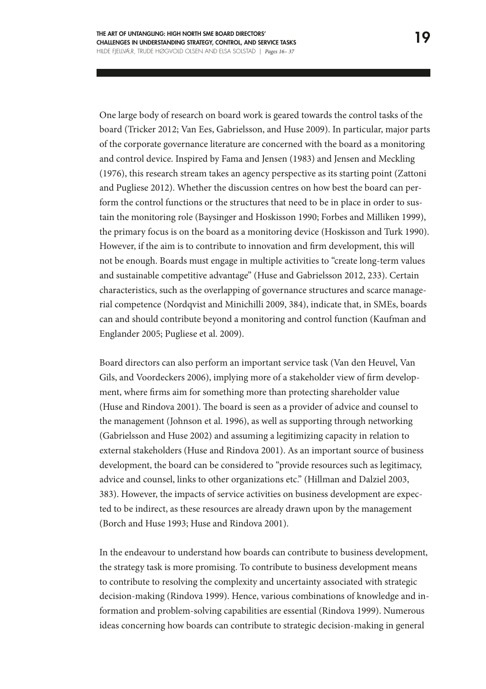One large body of research on board work is geared towards the control tasks of the board (Tricker 2012; Van Ees, Gabrielsson, and Huse 2009). In particular, major parts of the corporate governance literature are concerned with the board as a monitoring and control device. Inspired by Fama and Jensen (1983) and Jensen and Meckling (1976), this research stream takes an agency perspective as its starting point (Zattoni and Pugliese 2012). Whether the discussion centres on how best the board can perform the control functions or the structures that need to be in place in order to sustain the monitoring role (Baysinger and Hoskisson 1990; Forbes and Milliken 1999), the primary focus is on the board as a monitoring device (Hoskisson and Turk 1990). However, if the aim is to contribute to innovation and frm development, this will not be enough. Boards must engage in multiple activities to "create long-term values and sustainable competitive advantage" (Huse and Gabrielsson 2012, 233). Certain characteristics, such as the overlapping of governance structures and scarce managerial competence (Nordqvist and Minichilli 2009, 384), indicate that, in SMEs, boards can and should contribute beyond a monitoring and control function (Kaufman and Englander 2005; Pugliese et al. 2009).

Board directors can also perform an important service task (Van den Heuvel, Van Gils, and Voordeckers 2006), implying more of a stakeholder view of frm development, where frms aim for something more than protecting shareholder value (Huse and Rindova 2001). The board is seen as a provider of advice and counsel to the management (Johnson et al. 1996), as well as supporting through networking (Gabrielsson and Huse 2002) and assuming a legitimizing capacity in relation to external stakeholders (Huse and Rindova 2001). As an important source of business development, the board can be considered to "provide resources such as legitimacy, advice and counsel, links to other organizations etc." (Hillman and Dalziel 2003, 383). However, the impacts of service activities on business development are expected to be indirect, as these resources are already drawn upon by the management (Borch and Huse 1993; Huse and Rindova 2001).

In the endeavour to understand how boards can contribute to business development, the strategy task is more promising. To contribute to business development means to contribute to resolving the complexity and uncertainty associated with strategic decision-making (Rindova 1999). Hence, various combinations of knowledge and information and problem-solving capabilities are essential (Rindova 1999). Numerous ideas concerning how boards can contribute to strategic decision-making in general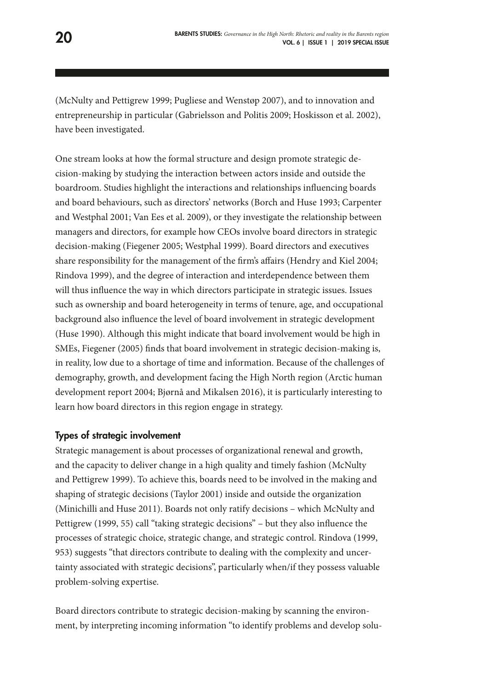(McNulty and Pettigrew 1999; Pugliese and Wenstøp 2007), and to innovation and entrepreneurship in particular (Gabrielsson and Politis 2009; Hoskisson et al. 2002), have been investigated.

One stream looks at how the formal structure and design promote strategic decision-making by studying the interaction between actors inside and outside the boardroom. Studies highlight the interactions and relationships infuencing boards and board behaviours, such as directors' networks (Borch and Huse 1993; Carpenter and Westphal 2001; Van Ees et al. 2009), or they investigate the relationship between managers and directors, for example how CEOs involve board directors in strategic decision-making (Fiegener 2005; Westphal 1999). Board directors and executives share responsibility for the management of the frm's afairs (Hendry and Kiel 2004; Rindova 1999), and the degree of interaction and interdependence between them will thus infuence the way in which directors participate in strategic issues. Issues such as ownership and board heterogeneity in terms of tenure, age, and occupational background also infuence the level of board involvement in strategic development (Huse 1990). Although this might indicate that board involvement would be high in SMEs, Fiegener (2005) fnds that board involvement in strategic decision-making is, in reality, low due to a shortage of time and information. Because of the challenges of demography, growth, and development facing the High North region (Arctic human development report 2004; Bjørnå and Mikalsen 2016), it is particularly interesting to learn how board directors in this region engage in strategy.

# Types of strategic involvement

Strategic management is about processes of organizational renewal and growth, and the capacity to deliver change in a high quality and timely fashion (McNulty and Pettigrew 1999). To achieve this, boards need to be involved in the making and shaping of strategic decisions (Taylor 2001) inside and outside the organization (Minichilli and Huse 2011). Boards not only ratify decisions – which McNulty and Pettigrew (1999, 55) call "taking strategic decisions" – but they also infuence the processes of strategic choice, strategic change, and strategic control. Rindova (1999, 953) suggests "that directors contribute to dealing with the complexity and uncertainty associated with strategic decisions", particularly when/if they possess valuable problem-solving expertise.

Board directors contribute to strategic decision-making by scanning the environment, by interpreting incoming information "to identify problems and develop solu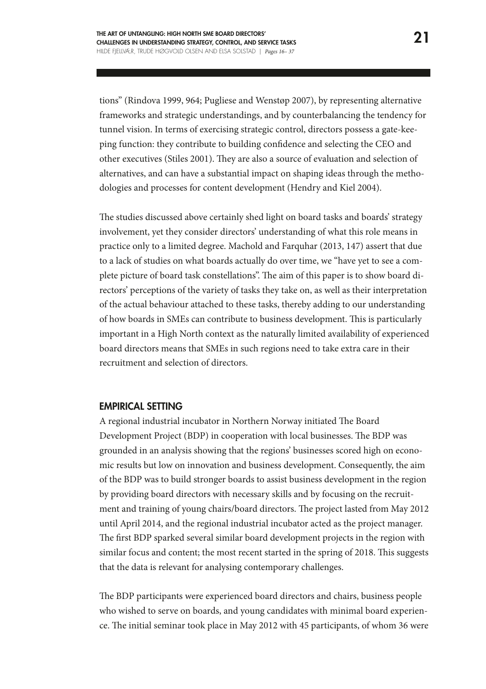tions" (Rindova 1999, 964; Pugliese and Wenstøp 2007), by representing alternative frameworks and strategic understandings, and by counterbalancing the tendency for tunnel vision. In terms of exercising strategic control, directors possess a gate-keeping function: they contribute to building confdence and selecting the CEO and other executives (Stiles 2001). They are also a source of evaluation and selection of alternatives, and can have a substantial impact on shaping ideas through the methodologies and processes for content development (Hendry and Kiel 2004).

The studies discussed above certainly shed light on board tasks and boards' strategy involvement, yet they consider directors' understanding of what this role means in practice only to a limited degree. Machold and Farquhar (2013, 147) assert that due to a lack of studies on what boards actually do over time, we "have yet to see a complete picture of board task constellations". The aim of this paper is to show board directors' perceptions of the variety of tasks they take on, as well as their interpretation of the actual behaviour attached to these tasks, thereby adding to our understanding of how boards in SMEs can contribute to business development. This is particularly important in a High North context as the naturally limited availability of experienced board directors means that SMEs in such regions need to take extra care in their recruitment and selection of directors.

#### EMPIRICAL SETTING

A regional industrial incubator in Northern Norway initiated The Board Development Project (BDP) in cooperation with local businesses. The BDP was grounded in an analysis showing that the regions' businesses scored high on economic results but low on innovation and business development. Consequently, the aim of the BDP was to build stronger boards to assist business development in the region by providing board directors with necessary skills and by focusing on the recruitment and training of young chairs/board directors. The project lasted from May 2012 until April 2014, and the regional industrial incubator acted as the project manager. The first BDP sparked several similar board development projects in the region with similar focus and content; the most recent started in the spring of 2018. This suggests that the data is relevant for analysing contemporary challenges.

The BDP participants were experienced board directors and chairs, business people who wished to serve on boards, and young candidates with minimal board experience. The initial seminar took place in May 2012 with 45 participants, of whom 36 were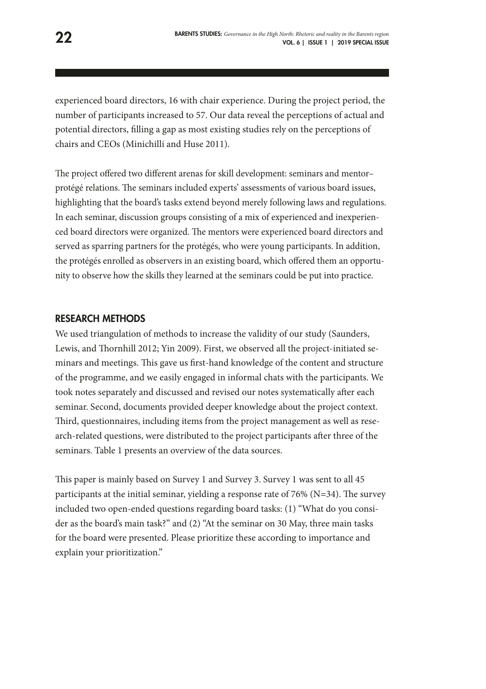experienced board directors, 16 with chair experience. During the project period, the number of participants increased to 57. Our data reveal the perceptions of actual and potential directors, flling a gap as most existing studies rely on the perceptions of chairs and CEOs (Minichilli and Huse 2011).

The project offered two different arenas for skill development: seminars and mentorprotégé relations. The seminars included experts' assessments of various board issues, highlighting that the board's tasks extend beyond merely following laws and regulations. In each seminar, discussion groups consisting of a mix of experienced and inexperienced board directors were organized. The mentors were experienced board directors and served as sparring partners for the protégés, who were young participants. In addition, the protégés enrolled as observers in an existing board, which ofered them an opportunity to observe how the skills they learned at the seminars could be put into practice.

#### RESEARCH METHODS

We used triangulation of methods to increase the validity of our study (Saunders, Lewis, and Thornhill 2012; Yin 2009). First, we observed all the project-initiated seminars and meetings. Tis gave us frst-hand knowledge of the content and structure of the programme, and we easily engaged in informal chats with the participants. We took notes separately and discussed and revised our notes systematically after each seminar. Second, documents provided deeper knowledge about the project context. Third, questionnaires, including items from the project management as well as research-related questions, were distributed to the project participants afer three of the seminars. Table 1 presents an overview of the data sources.

This paper is mainly based on Survey 1 and Survey 3. Survey 1 was sent to all 45 participants at the initial seminar, yielding a response rate of 76% ( $N=34$ ). The survey included two open-ended questions regarding board tasks: (1) "What do you consider as the board's main task?" and (2) "At the seminar on 30 May, three main tasks for the board were presented. Please prioritize these according to importance and explain your prioritization."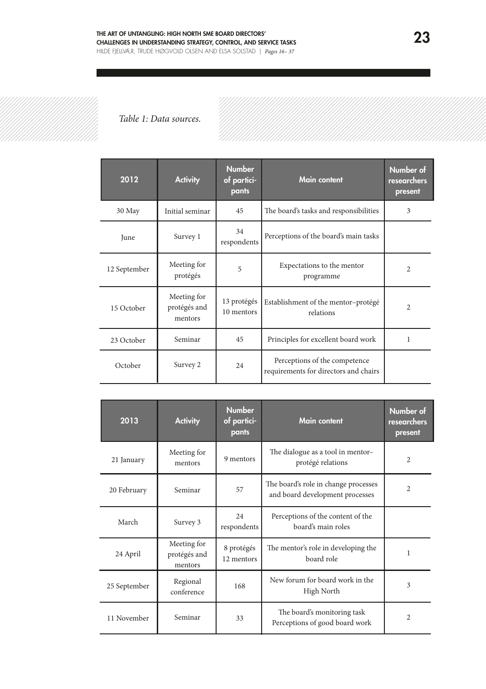

*Table 1: Data sources.*

| 2012         | <b>Activity</b>                        | <b>Number</b><br>of partici-<br>pants | <b>Main content</b>                                                    | Number of<br>researchers<br>present |
|--------------|----------------------------------------|---------------------------------------|------------------------------------------------------------------------|-------------------------------------|
| 30 May       | Initial seminar                        | 45                                    | The board's tasks and responsibilities                                 | 3                                   |
| June         | Survey 1                               | 34<br>respondents                     | Perceptions of the board's main tasks                                  |                                     |
| 12 September | Meeting for<br>protégés                | 5                                     | Expectations to the mentor<br>programme                                | $\overline{c}$                      |
| 15 October   | Meeting for<br>protégés and<br>mentors | 13 protégés<br>10 mentors             | Establishment of the mentor-protégé<br>relations                       | 2                                   |
| 23 October   | Seminar                                | 45                                    | Principles for excellent board work                                    | 1                                   |
| October      | Survey 2                               | 24                                    | Perceptions of the competence<br>requirements for directors and chairs |                                     |

| 2013         | <b>Activity</b>                        | <b>Number</b><br>of partici-<br>pants | <b>Main content</b>                                                     | Number of<br>researchers<br>present |
|--------------|----------------------------------------|---------------------------------------|-------------------------------------------------------------------------|-------------------------------------|
| 21 January   | Meeting for<br>mentors                 | 9 mentors                             | The dialogue as a tool in mentor-<br>protégé relations                  | $\overline{2}$                      |
| 20 February  | Seminar                                | 57                                    | The board's role in change processes<br>and board development processes | $\overline{c}$                      |
| March        | Survey 3                               | 24<br>respondents                     | Perceptions of the content of the<br>board's main roles                 |                                     |
| 24 April     | Meeting for<br>protégés and<br>mentors | 8 protégés<br>12 mentors              | The mentor's role in developing the<br>board role                       | 1                                   |
| 25 September | Regional<br>conference                 | 168                                   | New forum for board work in the<br>High North                           | 3                                   |
| 11 November  | Seminar                                | 33                                    | The board's monitoring task<br>Perceptions of good board work           | $\overline{c}$                      |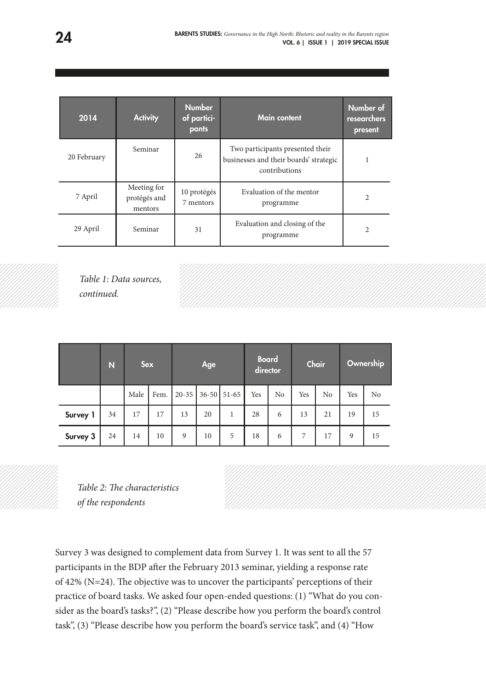| 2014        | <b>Activity</b>                        | <b>Number</b><br>of partici-<br>pants | Main content                                                                                | Number of<br>researchers<br>present |
|-------------|----------------------------------------|---------------------------------------|---------------------------------------------------------------------------------------------|-------------------------------------|
| 20 February | Seminar                                | 26                                    | Two participants presented their<br>businesses and their boards' strategic<br>contributions |                                     |
| 7 April     | Meeting for<br>protégés and<br>mentors | 10 protégés<br>7 mentors              | Evaluation of the mentor<br>programme                                                       | 2                                   |
| 29 April    | Seminar                                | 31                                    | Evaluation and closing of the<br>programme                                                  | 2                                   |



*Table 1: Data sources, continued.*

|          | N  | <b>Sex</b> |      |                     | Age |   | <b>Board</b><br>director |    |     | Chair          |     | Ownership      |
|----------|----|------------|------|---------------------|-----|---|--------------------------|----|-----|----------------|-----|----------------|
|          |    | Male       | Fem. | $20-35$ 36-50 51-65 |     |   | Yes                      | No | Yes | N <sub>0</sub> | Yes | N <sub>0</sub> |
| Survey 1 | 34 | 17         | 17   | 13                  | 20  | 1 | 28                       | 6  | 13  | 21             | 19  | 15             |
| Survey 3 | 24 | 14         | 10   | 9                   | 10  | 5 | 18                       | 6  | 7   | 17             | 9   | 15             |

Table 2: The characteristics *of the respondents*

Survey 3 was designed to complement data from Survey 1. It was sent to all the 57 participants in the BDP after the February 2013 seminar, yielding a response rate of 42% ( $N=24$ ). The objective was to uncover the participants' perceptions of their practice of board tasks. We asked four open-ended questions: (1) "What do you consider as the board's tasks?", (2) "Please describe how you perform the board's control task", (3) "Please describe how you perform the board's service task", and (4) "How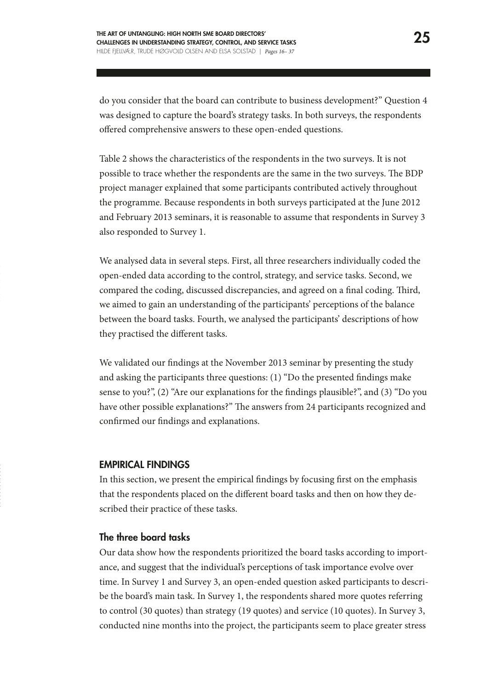do you consider that the board can contribute to business development?" Question 4 was designed to capture the board's strategy tasks. In both surveys, the respondents offered comprehensive answers to these open-ended questions.

Table 2 shows the characteristics of the respondents in the two surveys. It is not possible to trace whether the respondents are the same in the two surveys. The BDP project manager explained that some participants contributed actively throughout the programme. Because respondents in both surveys participated at the June 2012 and February 2013 seminars, it is reasonable to assume that respondents in Survey 3 also responded to Survey 1.

We analysed data in several steps. First, all three researchers individually coded the open-ended data according to the control, strategy, and service tasks. Second, we compared the coding, discussed discrepancies, and agreed on a fnal coding. Tird, we aimed to gain an understanding of the participants' perceptions of the balance between the board tasks. Fourth, we analysed the participants' descriptions of how they practised the diferent tasks.

We validated our fndings at the November 2013 seminar by presenting the study and asking the participants three questions: (1) "Do the presented fndings make sense to you?", (2) "Are our explanations for the fndings plausible?", and (3) "Do you have other possible explanations?" The answers from 24 participants recognized and confrmed our fndings and explanations.

#### EMPIRICAL FINDINGS

In this section, we present the empirical fndings by focusing frst on the emphasis that the respondents placed on the diferent board tasks and then on how they described their practice of these tasks.

#### The three board tasks

Our data show how the respondents prioritized the board tasks according to importance, and suggest that the individual's perceptions of task importance evolve over time. In Survey 1 and Survey 3, an open-ended question asked participants to describe the board's main task. In Survey 1, the respondents shared more quotes referring to control (30 quotes) than strategy (19 quotes) and service (10 quotes). In Survey 3, conducted nine months into the project, the participants seem to place greater stress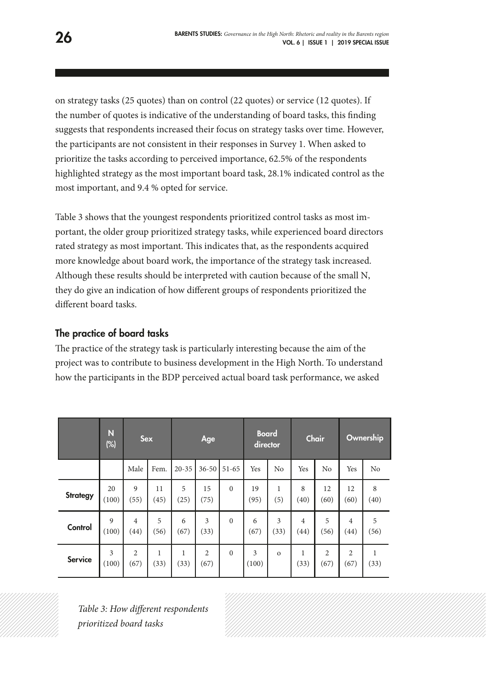on strategy tasks (25 quotes) than on control (22 quotes) or service (12 quotes). If the number of quotes is indicative of the understanding of board tasks, this fnding suggests that respondents increased their focus on strategy tasks over time. However, the participants are not consistent in their responses in Survey 1. When asked to prioritize the tasks according to perceived importance, 62.5% of the respondents highlighted strategy as the most important board task, 28.1% indicated control as the most important, and 9.4 % opted for service.

Table 3 shows that the youngest respondents prioritized control tasks as most important, the older group prioritized strategy tasks, while experienced board directors rated strategy as most important. This indicates that, as the respondents acquired more knowledge about board work, the importance of the strategy task increased. Although these results should be interpreted with caution because of the small N, they do give an indication of how diferent groups of respondents prioritized the diferent board tasks.

# The practice of board tasks

The practice of the strategy task is particularly interesting because the aim of the project was to contribute to business development in the High North. To understand how the participants in the BDP perceived actual board task performance, we asked

|                | Ñ<br>$(\%)$             | <b>Sex</b>             |            |           | Age                    |              | <b>Board</b><br>director |           |                        | Chair                  |                        | Ownership      |
|----------------|-------------------------|------------------------|------------|-----------|------------------------|--------------|--------------------------|-----------|------------------------|------------------------|------------------------|----------------|
|                |                         | Male                   | Fem.       | $20 - 35$ | $36 - 50$              | $51 - 65$    | Yes                      | No        | Yes                    | No                     | Yes                    | N <sub>o</sub> |
| Strategy       | 20<br>(100)             | $\overline{9}$<br>(55) | 11<br>(45) | 5<br>(25) | 15<br>(75)             | $\mathbf{0}$ | 19<br>(95)               | 1<br>(5)  | 8<br>(40)              | 12<br>(60)             | 12<br>(60)             | 8<br>(40)      |
| Control        | $\overline{9}$<br>(100) | $\overline{4}$<br>(44) | 5<br>(56)  | 6<br>(67) | 3<br>(33)              | $\Omega$     | 6<br>(67)                | 3<br>(33) | $\overline{4}$<br>(44) | 5<br>(56)              | $\overline{4}$<br>(44) | 5<br>(56)      |
| <b>Service</b> | 3<br>(100)              | $\overline{c}$<br>(67) | 1<br>(33)  | 1<br>(33) | $\overline{2}$<br>(67) | $\mathbf{0}$ | 3<br>(100)               | $\Omega$  | 1<br>(33)              | $\overline{c}$<br>(67) | $\overline{2}$<br>(67) | (33)           |



*Table 3: How diferent respondents prioritized board tasks*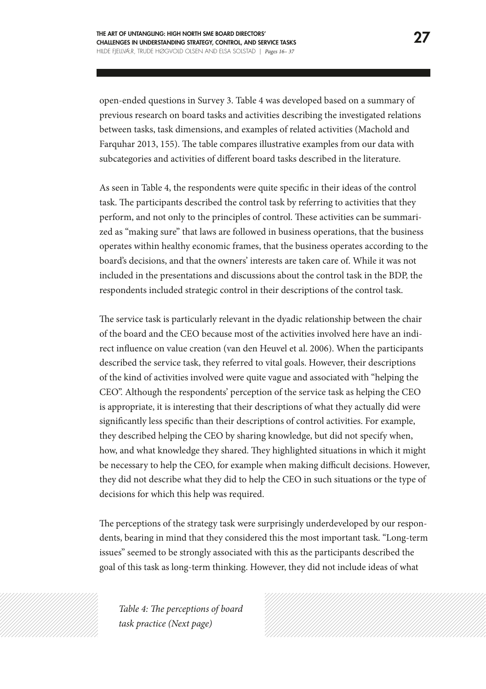open-ended questions in Survey 3. Table 4 was developed based on a summary of previous research on board tasks and activities describing the investigated relations between tasks, task dimensions, and examples of related activities (Machold and Farquhar 2013, 155). The table compares illustrative examples from our data with subcategories and activities of diferent board tasks described in the literature.

As seen in Table 4, the respondents were quite specifc in their ideas of the control task. The participants described the control task by referring to activities that they perform, and not only to the principles of control. These activities can be summarized as "making sure" that laws are followed in business operations, that the business operates within healthy economic frames, that the business operates according to the board's decisions, and that the owners' interests are taken care of. While it was not included in the presentations and discussions about the control task in the BDP, the respondents included strategic control in their descriptions of the control task.

The service task is particularly relevant in the dyadic relationship between the chair of the board and the CEO because most of the activities involved here have an indirect infuence on value creation (van den Heuvel et al. 2006). When the participants described the service task, they referred to vital goals. However, their descriptions of the kind of activities involved were quite vague and associated with "helping the CEO". Although the respondents' perception of the service task as helping the CEO is appropriate, it is interesting that their descriptions of what they actually did were signifcantly less specifc than their descriptions of control activities. For example, they described helping the CEO by sharing knowledge, but did not specify when, how, and what knowledge they shared. They highlighted situations in which it might be necessary to help the CEO, for example when making difficult decisions. However, they did not describe what they did to help the CEO in such situations or the type of decisions for which this help was required.

The perceptions of the strategy task were surprisingly underdeveloped by our respondents, bearing in mind that they considered this the most important task. "Long-term issues" seemed to be strongly associated with this as the participants described the goal of this task as long-term thinking. However, they did not include ideas of what



Table 4: The perceptions of board *task practice (Next page)*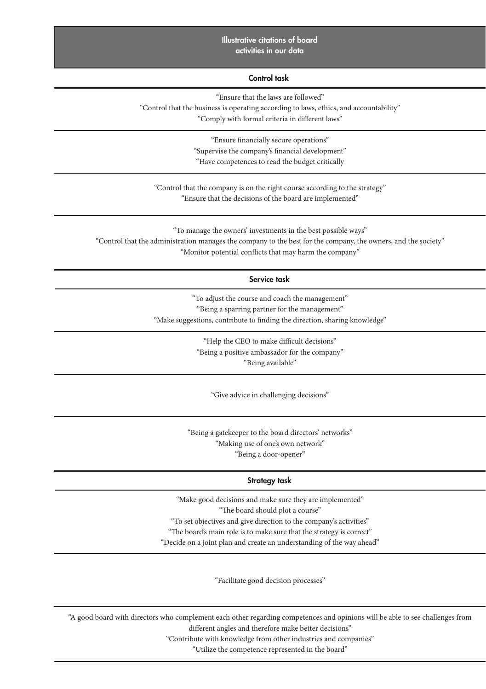#### 28 BARENTS STUDIES: *Governance in the High North: Rhetoric and reality in the Barents region*  VOL. 6 | ISSUE 1 | 2019 SPECIAL ISSUE Illustrative citations of board activities in our data

#### Control task

"Ensure that the laws are followed"

"Control that the business is operating according to laws, ethics, and accountability"

"Comply with formal criteria in diferent laws"

"Ensure fnancially secure operations" "Supervise the company's fnancial development" "Have competences to read the budget critically

"Control that the company is on the right course according to the strategy" "Ensure that the decisions of the board are implemented"

"To manage the owners' investments in the best possible ways" "Control that the administration manages the company to the best for the company, the owners, and the society" "Monitor potential conficts that may harm the company"

#### Service task

"To adjust the course and coach the management" "Being a sparring partner for the management" "Make suggestions, contribute to fnding the direction, sharing knowledge"

> "Help the CEO to make difficult decisions" "Being a positive ambassador for the company" "Being available"

> > "Give advice in challenging decisions"

"Being a gatekeeper to the board directors' networks" "Making use of one's own network" "Being a door-opener"

#### Strategy task

"Make good decisions and make sure they are implemented" "The board should plot a course" "To set objectives and give direction to the company's activities" "The board's main role is to make sure that the strategy is correct" "Decide on a joint plan and create an understanding of the way ahead"

"Facilitate good decision processes"

"A good board with directors who complement each other regarding competences and opinions will be able to see challenges from diferent angles and therefore make better decisions"

"Contribute with knowledge from other industries and companies"

"Utilize the competence represented in the board"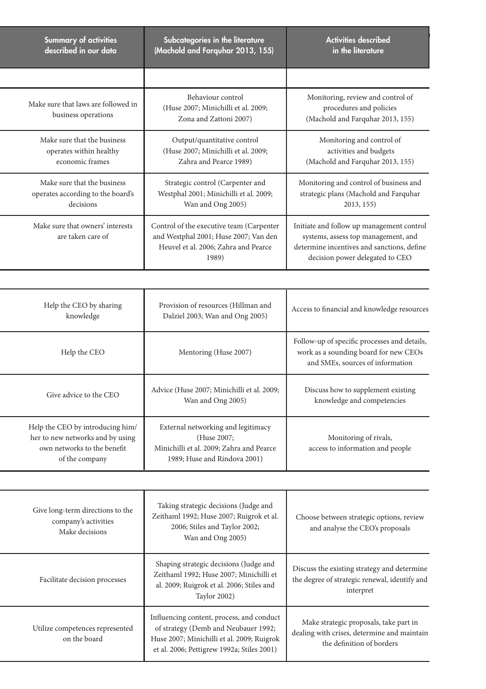| <b>Summary of activities</b>                               | Subcategories in the literature                                                                                                     | <b>Activities described</b>                                                                                                                                       |  |  |
|------------------------------------------------------------|-------------------------------------------------------------------------------------------------------------------------------------|-------------------------------------------------------------------------------------------------------------------------------------------------------------------|--|--|
| described in our data                                      | (Machold and Farquhar 2013, 155)                                                                                                    | in the literature                                                                                                                                                 |  |  |
|                                                            |                                                                                                                                     |                                                                                                                                                                   |  |  |
| Make sure that laws are followed in<br>business operations | Behaviour control<br>(Huse 2007; Minichilli et al. 2009;<br>Zona and Zattoni 2007)                                                  | Monitoring, review and control of<br>procedures and policies<br>(Machold and Farquhar 2013, 155)                                                                  |  |  |
| Make sure that the business                                | Output/quantitative control                                                                                                         | Monitoring and control of                                                                                                                                         |  |  |
| operates within healthy                                    | (Huse 2007; Minichilli et al. 2009;                                                                                                 | activities and budgets                                                                                                                                            |  |  |
| economic frames                                            | Zahra and Pearce 1989)                                                                                                              | (Machold and Farquhar 2013, 155)                                                                                                                                  |  |  |
| Make sure that the business                                | Strategic control (Carpenter and                                                                                                    | Monitoring and control of business and                                                                                                                            |  |  |
| operates according to the board's                          | Westphal 2001; Minichilli et al. 2009;                                                                                              | strategic plans (Machold and Farquhar                                                                                                                             |  |  |
| decisions                                                  | Wan and Ong 2005)                                                                                                                   | 2013, 155)                                                                                                                                                        |  |  |
| Make sure that owners' interests<br>are taken care of      | Control of the executive team (Carpenter)<br>and Westphal 2001; Huse 2007; Van den<br>Heuvel et al. 2006; Zahra and Pearce<br>1989) | Initiate and follow up management control<br>systems, assess top management, and<br>determine incentives and sanctions, define<br>decision power delegated to CEO |  |  |

| Help the CEO by sharing<br>knowledge                                                                                  | Provision of resources (Hillman and<br>Dalziel 2003; Wan and Ong 2005)                                                        | Access to financial and knowledge resources                                                                               |  |  |
|-----------------------------------------------------------------------------------------------------------------------|-------------------------------------------------------------------------------------------------------------------------------|---------------------------------------------------------------------------------------------------------------------------|--|--|
| Help the CEO                                                                                                          | Mentoring (Huse 2007)                                                                                                         | Follow-up of specific processes and details,<br>work as a sounding board for new CEOs<br>and SMEs, sources of information |  |  |
| Give advice to the CEO                                                                                                | Advice (Huse 2007; Minichilli et al. 2009;<br>Wan and Ong 2005)                                                               | Discuss how to supplement existing<br>knowledge and competencies                                                          |  |  |
| Help the CEO by introducing him/<br>her to new networks and by using<br>own networks to the benefit<br>of the company | External networking and legitimacy<br>(Huse 2007;<br>Minichilli et al. 2009; Zahra and Pearce<br>1989; Huse and Rindova 2001) | Monitoring of rivals,<br>access to information and people                                                                 |  |  |

| Give long-term directions to the<br>company's activities<br>Make decisions | Taking strategic decisions (Judge and<br>Zeithaml 1992; Huse 2007; Ruigrok et al.<br>2006; Stiles and Taylor 2002;<br>Wan and Ong 2005)                                       | Choose between strategic options, review<br>and analyse the CEO's proposals                                        |
|----------------------------------------------------------------------------|-------------------------------------------------------------------------------------------------------------------------------------------------------------------------------|--------------------------------------------------------------------------------------------------------------------|
| Facilitate decision processes                                              | Shaping strategic decisions (Judge and<br>Zeithaml 1992; Huse 2007; Minichilli et<br>al. 2009; Ruigrok et al. 2006; Stiles and<br><b>Taylor 2002)</b>                         | Discuss the existing strategy and determine<br>the degree of strategic renewal, identify and<br>interpret          |
| Utilize competences represented<br>on the board                            | Influencing content, process, and conduct<br>of strategy (Demb and Neubauer 1992;<br>Huse 2007; Minichilli et al. 2009; Ruigrok<br>et al. 2006; Pettigrew 1992a; Stiles 2001) | Make strategic proposals, take part in<br>dealing with crises, determine and maintain<br>the definition of borders |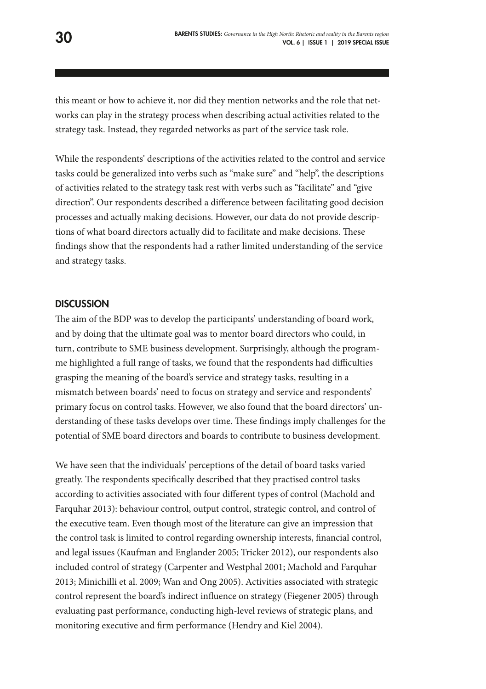this meant or how to achieve it, nor did they mention networks and the role that networks can play in the strategy process when describing actual activities related to the strategy task. Instead, they regarded networks as part of the service task role.

While the respondents' descriptions of the activities related to the control and service tasks could be generalized into verbs such as "make sure" and "help", the descriptions of activities related to the strategy task rest with verbs such as "facilitate" and "give direction". Our respondents described a diference between facilitating good decision processes and actually making decisions. However, our data do not provide descriptions of what board directors actually did to facilitate and make decisions. These fndings show that the respondents had a rather limited understanding of the service and strategy tasks.

#### **DISCUSSION**

The aim of the BDP was to develop the participants' understanding of board work, and by doing that the ultimate goal was to mentor board directors who could, in turn, contribute to SME business development. Surprisingly, although the programme highlighted a full range of tasks, we found that the respondents had difficulties grasping the meaning of the board's service and strategy tasks, resulting in a mismatch between boards' need to focus on strategy and service and respondents' primary focus on control tasks. However, we also found that the board directors' understanding of these tasks develops over time. These findings imply challenges for the potential of SME board directors and boards to contribute to business development.

We have seen that the individuals' perceptions of the detail of board tasks varied greatly. The respondents specifically described that they practised control tasks according to activities associated with four diferent types of control (Machold and Farquhar 2013): behaviour control, output control, strategic control, and control of the executive team. Even though most of the literature can give an impression that the control task is limited to control regarding ownership interests, fnancial control, and legal issues (Kaufman and Englander 2005; Tricker 2012), our respondents also included control of strategy (Carpenter and Westphal 2001; Machold and Farquhar 2013; Minichilli et al. 2009; Wan and Ong 2005). Activities associated with strategic control represent the board's indirect infuence on strategy (Fiegener 2005) through evaluating past performance, conducting high-level reviews of strategic plans, and monitoring executive and frm performance (Hendry and Kiel 2004).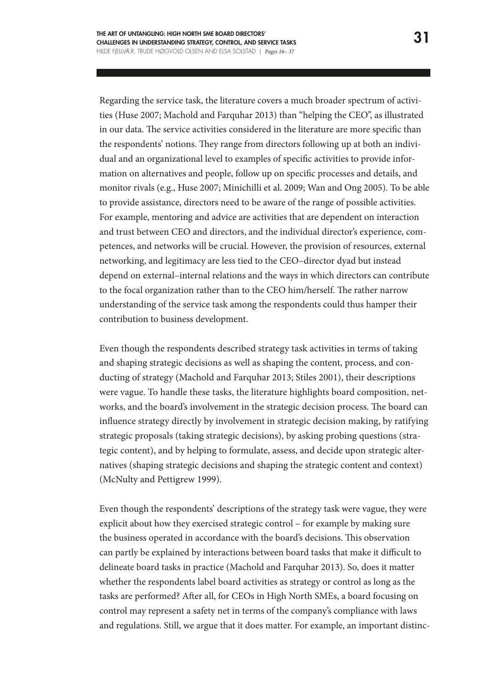Regarding the service task, the literature covers a much broader spectrum of activities (Huse 2007; Machold and Farquhar 2013) than "helping the CEO", as illustrated in our data. The service activities considered in the literature are more specific than the respondents' notions. They range from directors following up at both an individual and an organizational level to examples of specifc activities to provide information on alternatives and people, follow up on specifc processes and details, and monitor rivals (e.g., Huse 2007; Minichilli et al. 2009; Wan and Ong 2005). To be able to provide assistance, directors need to be aware of the range of possible activities. For example, mentoring and advice are activities that are dependent on interaction and trust between CEO and directors, and the individual director's experience, competences, and networks will be crucial. However, the provision of resources, external networking, and legitimacy are less tied to the CEO–director dyad but instead depend on external–internal relations and the ways in which directors can contribute to the focal organization rather than to the CEO him/herself. The rather narrow understanding of the service task among the respondents could thus hamper their contribution to business development.

Even though the respondents described strategy task activities in terms of taking and shaping strategic decisions as well as shaping the content, process, and conducting of strategy (Machold and Farquhar 2013; Stiles 2001), their descriptions were vague. To handle these tasks, the literature highlights board composition, networks, and the board's involvement in the strategic decision process. The board can infuence strategy directly by involvement in strategic decision making, by ratifying strategic proposals (taking strategic decisions), by asking probing questions (strategic content), and by helping to formulate, assess, and decide upon strategic alternatives (shaping strategic decisions and shaping the strategic content and context) (McNulty and Pettigrew 1999).

Even though the respondents' descriptions of the strategy task were vague, they were explicit about how they exercised strategic control – for example by making sure the business operated in accordance with the board's decisions. This observation can partly be explained by interactions between board tasks that make it difficult to delineate board tasks in practice (Machold and Farquhar 2013). So, does it matter whether the respondents label board activities as strategy or control as long as the tasks are performed? Afer all, for CEOs in High North SMEs, a board focusing on control may represent a safety net in terms of the company's compliance with laws and regulations. Still, we argue that it does matter. For example, an important distinc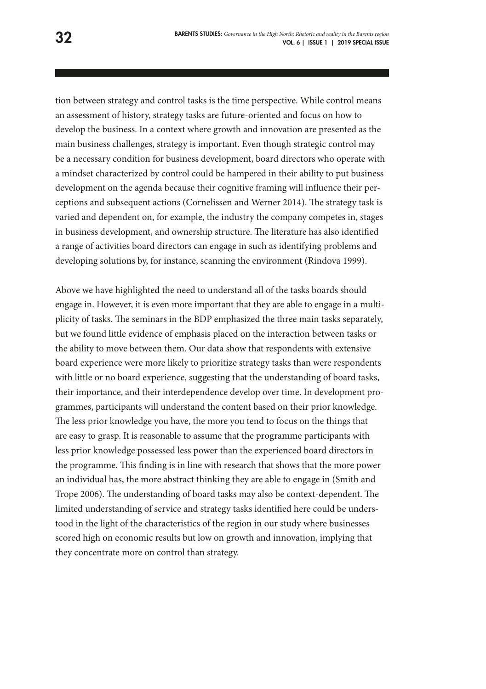tion between strategy and control tasks is the time perspective. While control means an assessment of history, strategy tasks are future-oriented and focus on how to develop the business. In a context where growth and innovation are presented as the main business challenges, strategy is important. Even though strategic control may be a necessary condition for business development, board directors who operate with a mindset characterized by control could be hampered in their ability to put business development on the agenda because their cognitive framing will infuence their perceptions and subsequent actions (Cornelissen and Werner 2014). The strategy task is varied and dependent on, for example, the industry the company competes in, stages in business development, and ownership structure. The literature has also identified a range of activities board directors can engage in such as identifying problems and developing solutions by, for instance, scanning the environment (Rindova 1999).

Above we have highlighted the need to understand all of the tasks boards should engage in. However, it is even more important that they are able to engage in a multiplicity of tasks. The seminars in the BDP emphasized the three main tasks separately, but we found little evidence of emphasis placed on the interaction between tasks or the ability to move between them. Our data show that respondents with extensive board experience were more likely to prioritize strategy tasks than were respondents with little or no board experience, suggesting that the understanding of board tasks, their importance, and their interdependence develop over time. In development programmes, participants will understand the content based on their prior knowledge. The less prior knowledge you have, the more you tend to focus on the things that are easy to grasp. It is reasonable to assume that the programme participants with less prior knowledge possessed less power than the experienced board directors in the programme. This finding is in line with research that shows that the more power an individual has, the more abstract thinking they are able to engage in (Smith and Trope 2006). The understanding of board tasks may also be context-dependent. The limited understanding of service and strategy tasks identifed here could be understood in the light of the characteristics of the region in our study where businesses scored high on economic results but low on growth and innovation, implying that they concentrate more on control than strategy.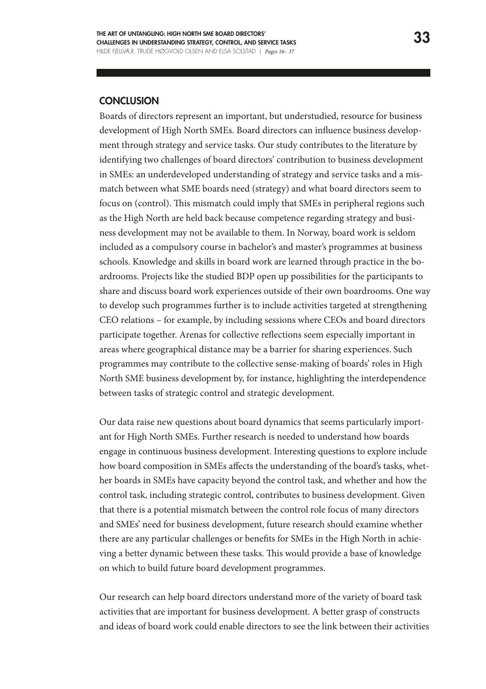#### **CONCLUSION**

Boards of directors represent an important, but understudied, resource for business development of High North SMEs. Board directors can infuence business development through strategy and service tasks. Our study contributes to the literature by identifying two challenges of board directors' contribution to business development in SMEs: an underdeveloped understanding of strategy and service tasks and a mismatch between what SME boards need (strategy) and what board directors seem to focus on (control). This mismatch could imply that SMEs in peripheral regions such as the High North are held back because competence regarding strategy and business development may not be available to them. In Norway, board work is seldom included as a compulsory course in bachelor's and master's programmes at business schools. Knowledge and skills in board work are learned through practice in the boardrooms. Projects like the studied BDP open up possibilities for the participants to share and discuss board work experiences outside of their own boardrooms. One way to develop such programmes further is to include activities targeted at strengthening CEO relations – for example, by including sessions where CEOs and board directors participate together. Arenas for collective refections seem especially important in areas where geographical distance may be a barrier for sharing experiences. Such programmes may contribute to the collective sense-making of boards' roles in High North SME business development by, for instance, highlighting the interdependence between tasks of strategic control and strategic development.

Our data raise new questions about board dynamics that seems particularly important for High North SMEs. Further research is needed to understand how boards engage in continuous business development. Interesting questions to explore include how board composition in SMEs affects the understanding of the board's tasks, whether boards in SMEs have capacity beyond the control task, and whether and how the control task, including strategic control, contributes to business development. Given that there is a potential mismatch between the control role focus of many directors and SMEs' need for business development, future research should examine whether there are any particular challenges or benefts for SMEs in the High North in achieving a better dynamic between these tasks. This would provide a base of knowledge on which to build future board development programmes.

Our research can help board directors understand more of the variety of board task activities that are important for business development. A better grasp of constructs and ideas of board work could enable directors to see the link between their activities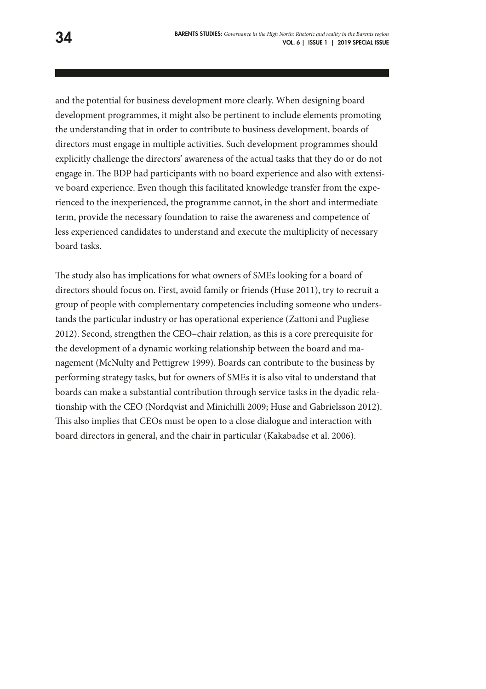and the potential for business development more clearly. When designing board development programmes, it might also be pertinent to include elements promoting the understanding that in order to contribute to business development, boards of directors must engage in multiple activities. Such development programmes should explicitly challenge the directors' awareness of the actual tasks that they do or do not engage in. The BDP had participants with no board experience and also with extensive board experience. Even though this facilitated knowledge transfer from the experienced to the inexperienced, the programme cannot, in the short and intermediate term, provide the necessary foundation to raise the awareness and competence of less experienced candidates to understand and execute the multiplicity of necessary board tasks.

The study also has implications for what owners of SMEs looking for a board of directors should focus on. First, avoid family or friends (Huse 2011), try to recruit a group of people with complementary competencies including someone who understands the particular industry or has operational experience (Zattoni and Pugliese 2012). Second, strengthen the CEO–chair relation, as this is a core prerequisite for the development of a dynamic working relationship between the board and management (McNulty and Pettigrew 1999). Boards can contribute to the business by performing strategy tasks, but for owners of SMEs it is also vital to understand that boards can make a substantial contribution through service tasks in the dyadic relationship with the CEO (Nordqvist and Minichilli 2009; Huse and Gabrielsson 2012). This also implies that CEOs must be open to a close dialogue and interaction with board directors in general, and the chair in particular (Kakabadse et al. 2006).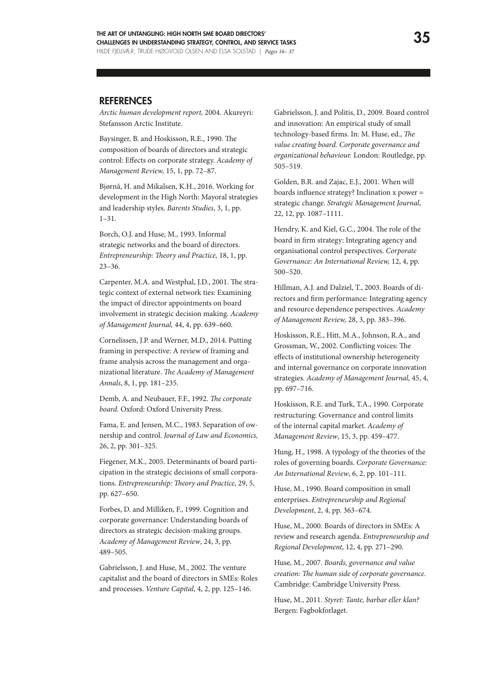#### **REFERENCES**

*Arctic human development report,* 2004. Akureyri: Stefansson Arctic Institute.

Baysinger, B. and Hoskisson, R.E., 1990. The composition of boards of directors and strategic control: Efects on corporate strategy. *Academy of Management Review,* 15, 1, pp. 72–87.

Bjørnå, H. and Mikalsen, K.H., 2016. Working for development in the High North: Mayoral strategies and leadership styles. *Barents Studies*, 3, 1, pp. 1–31.

Borch, O.J. and Huse, M., 1993. Informal strategic networks and the board of directors. *Entrepreneurship: Theory and Practice*, 18, 1, pp. 23–36.

Carpenter, M.A. and Westphal, J.D., 2001. The strategic context of external network ties: Examining the impact of director appointments on board involvement in strategic decision making. *Academy of Management Journal,* 44, 4, pp. 639–660.

Cornelissen, J.P. and Werner, M.D., 2014. Putting framing in perspective: A review of framing and frame analysis across the management and organizational literature. *The Academy of Management Annals*, 8, 1, pp. 181–235.

Demb, A. and Neubauer, F.F., 1992. *The corporate board.* Oxford: Oxford University Press.

Fama, E. and Jensen, M.C., 1983. Separation of ownership and control. *Journal of Law and Economics,* 26, 2, pp. 301–325.

Fiegener, M.K., 2005. Determinants of board participation in the strategic decisions of small corporations. *Entrepreneurship: Theory and Practice*, 29, 5, pp. 627–650.

Forbes, D. and Milliken, F., 1999. Cognition and corporate governance: Understanding boards of directors as strategic decision-making groups. *Academy of Management Review*, 24, 3, pp. 489–505.

Gabrielsson, J. and Huse, M., 2002. The venture capitalist and the board of directors in SMEs: Roles and processes. *Venture Capital*, 4, 2, pp. 125–146.

Gabrielsson, J. and Politis, D., 2009. Board control and innovation: An empirical study of small technology-based frms. In: M. Huse, ed., *Te value creating board. Corporate governance and organizational behaviour.* London: Routledge, pp. 505–519.

Golden, B.R. and Zajac, E.J., 2001. When will boards infuence strategy? Inclination x power = strategic change. *Strategic Management Journal*, 22, 12, pp. 1087–1111.

Hendry, K. and Kiel, G.C., 2004. The role of the board in frm strategy: Integrating agency and organisational control perspectives. *Corporate Governance: An International Review,* 12, 4, pp. 500–520.

Hillman, A.J. and Dalziel, T., 2003. Boards of directors and frm performance: Integrating agency and resource dependence perspectives. *Academy of Management Review,* 28, 3, pp. 383–396.

Hoskisson, R.E., Hitt, M.A., Johnson, R.A., and Grossman, W., 2002. Conflicting voices: The efects of institutional ownership heterogeneity and internal governance on corporate innovation strategies. *Academy of Management Journal,* 45, 4, pp. 697–716.

Hoskisson, R.E. and Turk, T.A., 1990. Corporate restructuring: Governance and control limits of the internal capital market. *Academy of Management Review*, 15, 3, pp. 459–477.

Hung, H., 1998. A typology of the theories of the roles of governing boards. *Corporate Governance: An International Review*, 6, 2, pp. 101–111.

Huse, M., 1990. Board composition in small enterprises. *Entrepreneurship and Regional Development*, 2, 4, pp. 363–674.

Huse, M., 2000. Boards of directors in SMEs: A review and research agenda. *Entrepreneurship and Regional Development*, 12, 4, pp. 271–290.

Huse, M., 2007. *Boards, governance and value creation: The human side of corporate governance.* Cambridge: Cambridge University Press.

Huse, M., 2011. *Styret: Tante, barbar eller klan?* Bergen: Fagbokforlaget.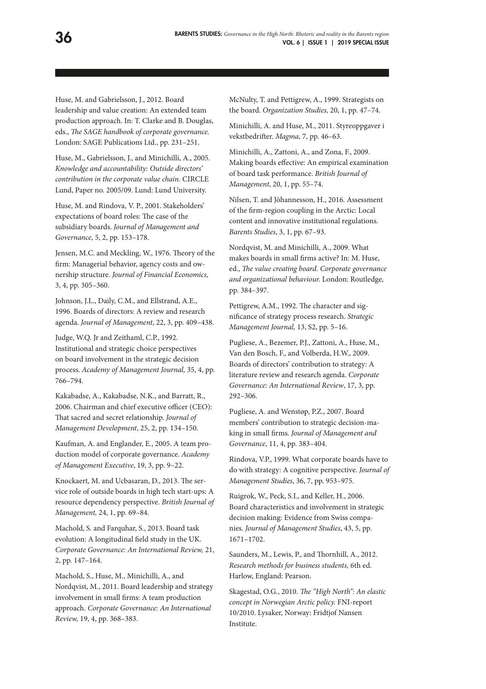Huse, M. and Gabrielsson, J., 2012. Board leadership and value creation: An extended team production approach. In: T. Clarke and B. Douglas, eds., *The SAGE handbook of corporate governance*. London: SAGE Publications Ltd., pp. 231–251.

Huse, M., Gabrielsson, J., and Minichilli, A., 2005. *Knowledge and accountability: Outside directors' contribution in the corporate value chain.* CIRCLE Lund, Paper no. 2005/09. Lund: Lund University.

Huse, M. and Rindova, V. P., 2001. Stakeholders' expectations of board roles: The case of the subsidiary boards. *Journal of Management and Governance*, 5, 2, pp. 153–178.

Jensen, M.C. and Meckling, W., 1976. Theory of the frm: Managerial behavior, agency costs and ownership structure. *Journal of Financial Economics,* 3, 4, pp. 305–360.

Johnson, J.L., Daily, C.M., and Ellstrand, A.E., 1996. Boards of directors: A review and research agenda. *Journal of Management*, 22, 3, pp. 409–438.

Judge, W.Q. Jr and Zeithaml, C.P., 1992. Institutional and strategic choice perspectives on board involvement in the strategic decision process. *Academy of Management Journal,* 35, 4, pp. 766–794.

Kakabadse, A., Kakabadse, N.K., and Barratt, R., 2006. Chairman and chief executive officer (CEO): That sacred and secret relationship. *Journal of Management Development*, 25, 2, pp. 134–150.

Kaufman, A. and Englander, E., 2005. A team production model of corporate governance. *Academy of Management Executive*, 19, 3, pp. 9–22.

Knockaert, M. and Ucbasaran, D., 2013. The service role of outside boards in high tech start-ups: A resource dependency perspective. *British Journal of Management,* 24, 1, pp. 69–84.

Machold, S. and Farquhar, S., 2013. Board task evolution: A longitudinal feld study in the UK. *Corporate Governance: An International Review,* 21, 2, pp. 147–164.

Machold, S., Huse, M., Minichilli, A., and Nordqvist, M., 2011. Board leadership and strategy involvement in small frms: A team production approach. *Corporate Governance: An International Review,* 19, 4, pp. 368–383.

McNulty, T. and Pettigrew, A., 1999. Strategists on the board. *Organization Studies,* 20, 1, pp. 47–74.

Minichilli, A. and Huse, M., 2011. Styreoppgaver i vekstbedrifer. *Magma*, 7, pp. 46–63.

Minichilli, A., Zattoni, A., and Zona, F., 2009. Making boards efective: An empirical examination of board task performance. *British Journal of Management*, 20, 1, pp. 55–74.

Nilsen, T. and Jòhannesson, H., 2016. Assessment of the frm-region coupling in the Arctic: Local content and innovative institutional regulations. *Barents Studies*, 3, 1, pp. 67–93.

Nordqvist, M. and Minichilli, A., 2009. What makes boards in small frms active? In: M. Huse, ed., *The value creating board. Corporate governance and organizational behaviour.* London: Routledge, pp. 384–397.

Pettigrew, A.M., 1992. The character and signifcance of strategy process research. *Strategic Management Journal,* 13, S2, pp. 5–16.

Pugliese, A., Bezemer, P.J., Zattoni, A., Huse, M., Van den Bosch, F., and Volberda, H.W., 2009. Boards of directors' contribution to strategy: A literature review and research agenda. *Corporate Governance: An International Review*, 17, 3, pp. 292–306.

Pugliese, A. and Wenstøp, P.Z., 2007. Board members' contribution to strategic decision-making in small frms. *Journal of Management and Governance*, 11, 4, pp. 383–404.

Rindova, V.P., 1999. What corporate boards have to do with strategy: A cognitive perspective. *Journal of Management Studies*, 36, 7, pp. 953–975.

Ruigrok, W., Peck, S.I., and Keller, H., 2006. Board characteristics and involvement in strategic decision making: Evidence from Swiss companies. *Journal of Management Studies*, 43, 5, pp. 1671–1702.

Saunders, M., Lewis, P., and Thornhill, A., 2012. *Research methods for business students,* 6th ed. Harlow, England: Pearson.

Skagestad, O.G., 2010. The "High North": An elastic *concept in Norwegian Arctic policy.* FNI-report 10/2010. Lysaker, Norway: Fridtjof Nansen Institute.